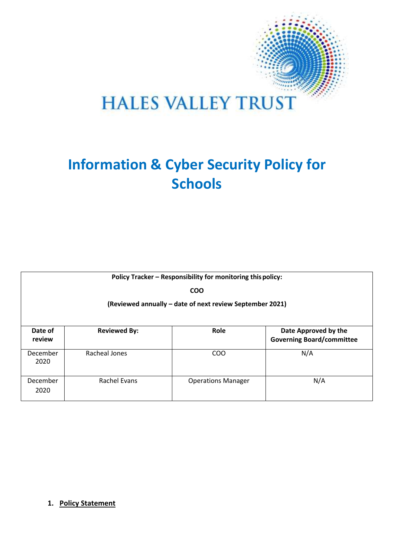

# **HALES VALLEY TRUST**

# **Information & Cyber Security Policy for Schools**

| Policy Tracker - Responsibility for monitoring this policy: |                     |                           |                                                          |
|-------------------------------------------------------------|---------------------|---------------------------|----------------------------------------------------------|
| <b>COO</b>                                                  |                     |                           |                                                          |
| (Reviewed annually - date of next review September 2021)    |                     |                           |                                                          |
|                                                             |                     |                           |                                                          |
| Date of<br>review                                           | <b>Reviewed By:</b> | Role                      | Date Approved by the<br><b>Governing Board/committee</b> |
| December<br>2020                                            | Racheal Jones       | COO                       | N/A                                                      |
| December<br>2020                                            | Rachel Evans        | <b>Operations Manager</b> | N/A                                                      |

# **1. Policy Statement**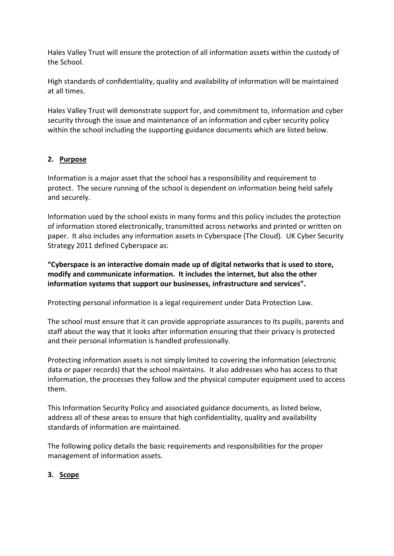Hales Valley Trust will ensure the protection of all information assets within the custody of the School.

High standards of confidentiality, quality and availability of information will be maintained at all times.

Hales Valley Trust will demonstrate support for, and commitment to, information and cyber security through the issue and maintenance of an information and cyber security policy within the school including the supporting guidance documents which are listed below.

# **2. Purpose**

Information is a major asset that the school has a responsibility and requirement to protect. The secure running of the school is dependent on information being held safely and securely.

Information used by the school exists in many forms and this policy includes the protection of information stored electronically, transmitted across networks and printed or written on paper. It also includes any information assets in Cyberspace (The Cloud). UK Cyber Security Strategy 2011 defined Cyberspace as:

**"Cyberspace is an interactive domain made up of digital networks that is used to store, modify and communicate information. It includes the internet, but also the other information systems that support our businesses, infrastructure and services".**

Protecting personal information is a legal requirement under Data Protection Law.

The school must ensure that it can provide appropriate assurances to its pupils, parents and staff about the way that it looks after information ensuring that their privacy is protected and their personal information is handled professionally.

Protecting information assets is not simply limited to covering the information (electronic data or paper records) that the school maintains. It also addresses who has access to that information, the processes they follow and the physical computer equipment used to access them.

This Information Security Policy and associated guidance documents, as listed below, address all of these areas to ensure that high confidentiality, quality and availability standards of information are maintained.

The following policy details the basic requirements and responsibilities for the proper management of information assets.

# **3. Scope**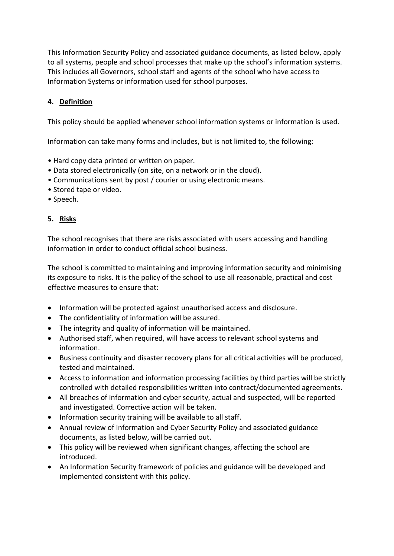This Information Security Policy and associated guidance documents, as listed below, apply to all systems, people and school processes that make up the school's information systems. This includes all Governors, school staff and agents of the school who have access to Information Systems or information used for school purposes.

# **4. Definition**

This policy should be applied whenever school information systems or information is used.

Information can take many forms and includes, but is not limited to, the following:

- Hard copy data printed or written on paper.
- Data stored electronically (on site, on a network or in the cloud).
- Communications sent by post / courier or using electronic means.
- Stored tape or video.
- Speech.

# **5. Risks**

The school recognises that there are risks associated with users accessing and handling information in order to conduct official school business.

The school is committed to maintaining and improving information security and minimising its exposure to risks. It is the policy of the school to use all reasonable, practical and cost effective measures to ensure that:

- Information will be protected against unauthorised access and disclosure.
- The confidentiality of information will be assured.
- The integrity and quality of information will be maintained.
- Authorised staff, when required, will have access to relevant school systems and information.
- Business continuity and disaster recovery plans for all critical activities will be produced, tested and maintained.
- Access to information and information processing facilities by third parties will be strictly controlled with detailed responsibilities written into contract/documented agreements.
- All breaches of information and cyber security, actual and suspected, will be reported and investigated. Corrective action will be taken.
- Information security training will be available to all staff.
- Annual review of Information and Cyber Security Policy and associated guidance documents, as listed below, will be carried out.
- This policy will be reviewed when significant changes, affecting the school are introduced.
- An Information Security framework of policies and guidance will be developed and implemented consistent with this policy.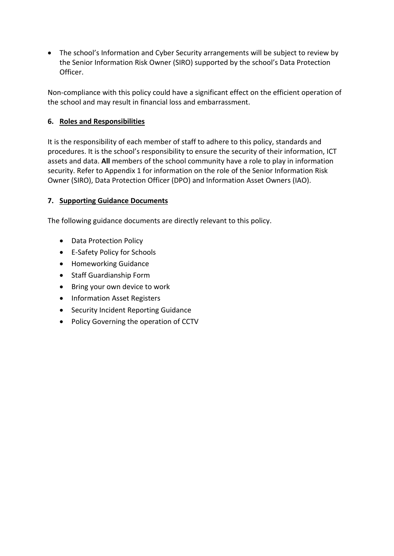• The school's Information and Cyber Security arrangements will be subject to review by the Senior Information Risk Owner (SIRO) supported by the school's Data Protection Officer.

Non-compliance with this policy could have a significant effect on the efficient operation of the school and may result in financial loss and embarrassment.

# **6. Roles and Responsibilities**

It is the responsibility of each member of staff to adhere to this policy, standards and procedures. It is the school's responsibility to ensure the security of their information, ICT assets and data. **All** members of the school community have a role to play in information security. Refer to Appendix 1 for information on the role of the Senior Information Risk Owner (SIRO), Data Protection Officer (DPO) and Information Asset Owners (IAO).

#### **7. Supporting Guidance Documents**

The following guidance documents are directly relevant to this policy.

- Data Protection Policy
- E-Safety Policy for Schools
- Homeworking Guidance
- Staff Guardianship Form
- Bring your own device to work
- Information Asset Registers
- Security Incident Reporting Guidance
- Policy Governing the operation of CCTV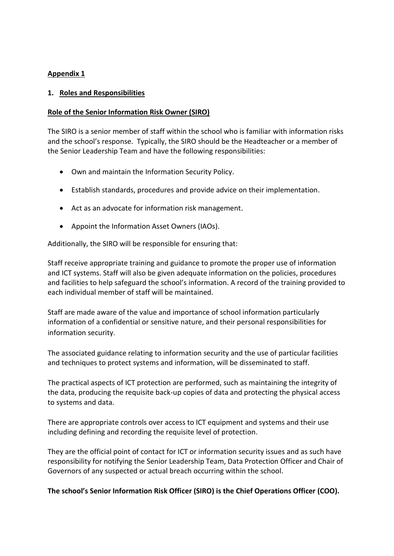#### **Appendix 1**

#### **1. Roles and Responsibilities**

#### **Role of the Senior Information Risk Owner (SIRO)**

The SIRO is a senior member of staff within the school who is familiar with information risks and the school's response. Typically, the SIRO should be the Headteacher or a member of the Senior Leadership Team and have the following responsibilities:

- Own and maintain the Information Security Policy.
- Establish standards, procedures and provide advice on their implementation.
- Act as an advocate for information risk management.
- Appoint the Information Asset Owners (IAOs).

Additionally, the SIRO will be responsible for ensuring that:

Staff receive appropriate training and guidance to promote the proper use of information and ICT systems. Staff will also be given adequate information on the policies, procedures and facilities to help safeguard the school's information. A record of the training provided to each individual member of staff will be maintained.

Staff are made aware of the value and importance of school information particularly information of a confidential or sensitive nature, and their personal responsibilities for information security.

The associated guidance relating to information security and the use of particular facilities and techniques to protect systems and information, will be disseminated to staff.

The practical aspects of ICT protection are performed, such as maintaining the integrity of the data, producing the requisite back-up copies of data and protecting the physical access to systems and data.

There are appropriate controls over access to ICT equipment and systems and their use including defining and recording the requisite level of protection.

They are the official point of contact for ICT or information security issues and as such have responsibility for notifying the Senior Leadership Team, Data Protection Officer and Chair of Governors of any suspected or actual breach occurring within the school.

#### **The school's Senior Information Risk Officer (SIRO) is the Chief Operations Officer (COO).**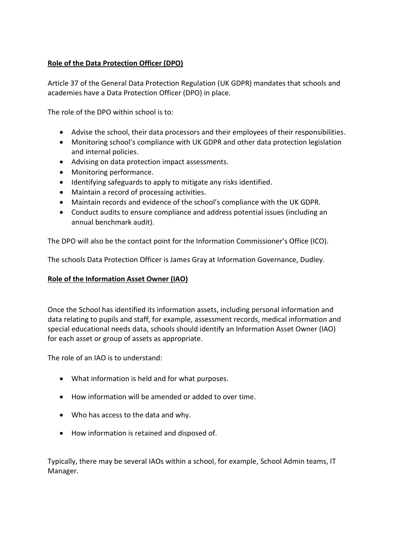# **Role of the Data Protection Officer (DPO)**

Article 37 of the General Data Protection Regulation (UK GDPR) mandates that schools and academies have a Data Protection Officer (DPO) in place.

The role of the DPO within school is to:

- Advise the school, their data processors and their employees of their responsibilities.
- Monitoring school's compliance with UK GDPR and other data protection legislation and internal policies.
- Advising on data protection impact assessments.
- Monitoring performance.
- Identifying safeguards to apply to mitigate any risks identified.
- Maintain a record of processing activities.
- Maintain records and evidence of the school's compliance with the UK GDPR.
- Conduct audits to ensure compliance and address potential issues (including an annual benchmark audit).

The DPO will also be the contact point for the Information Commissioner's Office (ICO).

The schools Data Protection Officer is James Gray at Information Governance, Dudley.

#### **Role of the Information Asset Owner (IAO)**

Once the School has identified its information assets, including personal information and data relating to pupils and staff, for example, assessment records, medical information and special educational needs data, schools should identify an Information Asset Owner (IAO) for each asset or group of assets as appropriate.

The role of an IAO is to understand:

- What information is held and for what purposes.
- How information will be amended or added to over time.
- Who has access to the data and why.
- How information is retained and disposed of.

Typically, there may be several IAOs within a school, for example, School Admin teams, IT Manager.